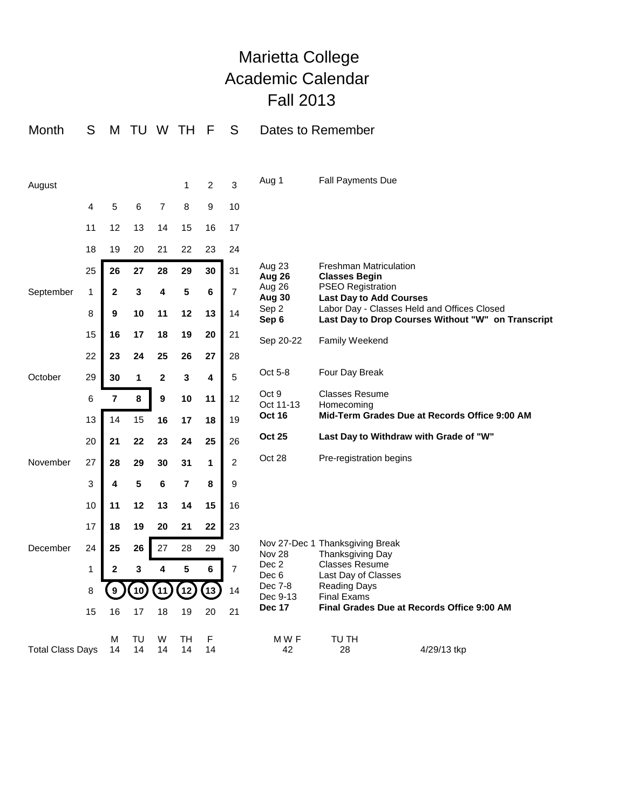## Marietta College Academic Calendar Fall 2013

| Month                   | S  | M                       | <b>TU</b>       |                | W TH           | F       | S              | Dates to Remember                                   |                                                                                                   |                                        |  |
|-------------------------|----|-------------------------|-----------------|----------------|----------------|---------|----------------|-----------------------------------------------------|---------------------------------------------------------------------------------------------------|----------------------------------------|--|
| August                  |    |                         |                 |                | 1              | 2       | 3              | Aug 1                                               | <b>Fall Payments Due</b>                                                                          |                                        |  |
|                         | 4  | 5                       | 6               | $\overline{7}$ | 8              | 9       | 10             |                                                     |                                                                                                   |                                        |  |
|                         |    |                         |                 |                |                |         |                |                                                     |                                                                                                   |                                        |  |
|                         | 11 | 12                      | 13              | 14             | 15             | 16      | 17             |                                                     |                                                                                                   |                                        |  |
|                         | 18 | 19                      | 20              | 21             | 22             | 23      | 24             | Aug 23                                              | <b>Freshman Matriculation</b>                                                                     |                                        |  |
| September               | 25 | 26                      | 27              | 28             | 29             | 30      | 31             | <b>Aug 26</b><br>Aug 26<br>Aug 30<br>Sep 2<br>Sep 6 | <b>Classes Begin</b><br><b>PSEO Registration</b>                                                  |                                        |  |
|                         | 1  | $\overline{2}$          | 3               | 4              | 5              | 6       | $\overline{7}$ |                                                     | <b>Last Day to Add Courses</b>                                                                    |                                        |  |
|                         | 8  | 9                       | 10              | 11             | 12             | 13      | 14             |                                                     | Labor Day - Classes Held and Offices Closed<br>Last Day to Drop Courses Without "W" on Transcript |                                        |  |
|                         | 15 | 16                      | 17              | 18             | 19             | 20      | 21             | Sep 20-22                                           | Family Weekend                                                                                    |                                        |  |
|                         | 22 | 23                      | 24              | 25             | 26             | 27      | 28             |                                                     |                                                                                                   |                                        |  |
| October                 | 29 | 30                      | 1               | $\mathbf 2$    | 3              | 4       | 5              | Oct 5-8                                             | Four Day Break                                                                                    |                                        |  |
|                         | 6  | $\overline{\mathbf{7}}$ | 8               | 9              | 10             | 11      | 12             | Oct 9<br>Oct 11-13<br><b>Oct 16</b>                 | <b>Classes Resume</b><br>Homecoming                                                               |                                        |  |
|                         | 13 | 14                      | 15              | 16             | 17             | 18      | 19             |                                                     | Mid-Term Grades Due at Records Office 9:00 AM                                                     |                                        |  |
|                         | 20 | 21                      | 22              | 23             | 24             | 25      | 26             | <b>Oct 25</b>                                       |                                                                                                   | Last Day to Withdraw with Grade of "W" |  |
| November                | 27 | 28                      | 29              | 30             | 31             | 1       | $\overline{2}$ | Oct 28                                              | Pre-registration begins                                                                           |                                        |  |
|                         | 3  | 4                       | 5               | 6              | $\overline{7}$ | 8       | 9              |                                                     |                                                                                                   |                                        |  |
|                         | 10 | 11                      | 12              | 13             | 14             | 15      | 16             |                                                     |                                                                                                   |                                        |  |
|                         | 17 | 18                      | 19              | 20             | 21             | 22      | 23             |                                                     |                                                                                                   |                                        |  |
| December                | 24 | 25                      | 26              | 27             | 28             | 29      | 30             | <b>Nov 28</b><br>Dec 2                              | Nov 27-Dec 1 Thanksgiving Break<br>Thanksgiving Day<br><b>Classes Resume</b>                      |                                        |  |
|                         | 1  | 2                       | 3               | 4              | ${\bf 5}$      | 6       | $\overline{7}$ |                                                     |                                                                                                   |                                        |  |
|                         | 8  | 9                       | 10 <sub>1</sub> | 11             | 12             | 13      | 14             | Dec 6<br>Dec 7-8                                    | Last Day of Classes<br><b>Reading Days</b>                                                        |                                        |  |
|                         | 15 | 16                      | 17              | 18             | 19             | 20      | 21             | Dec 9-13<br><b>Dec 17</b>                           | <b>Final Exams</b><br>Final Grades Due at Records Office 9:00 AM                                  |                                        |  |
| <b>Total Class Days</b> |    | м<br>14                 | TU<br>14        | W<br>14        | TН<br>14       | F<br>14 |                | MWF<br>42                                           | TU TH<br>28                                                                                       | 4/29/13 tkp                            |  |